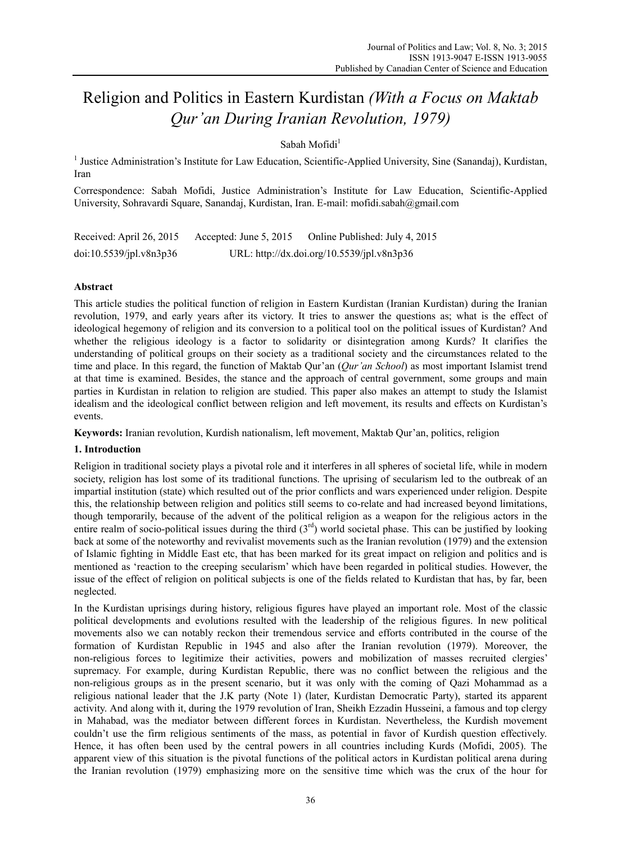# Religion and Politics in Eastern Kurdistan *(With a Focus on Maktab Qur'an During Iranian Revolution, 1979)*

Sabah Mofidi $1$ 

<sup>1</sup> Justice Administration's Institute for Law Education, Scientific-Applied University, Sine (Sanandaj), Kurdistan, Iran

Correspondence: Sabah Mofidi, Justice Administration's Institute for Law Education, Scientific-Applied University, Sohravardi Square, Sanandaj, Kurdistan, Iran. E-mail: mofidi.sabah@gmail.com

Received: April 26, 2015 Accepted: June 5, 2015 Online Published: July 4, 2015 doi:10.5539/jpl.v8n3p36 URL: http://dx.doi.org/10.5539/jpl.v8n3p36

# **Abstract**

This article studies the political function of religion in Eastern Kurdistan (Iranian Kurdistan) during the Iranian revolution, 1979, and early years after its victory. It tries to answer the questions as; what is the effect of ideological hegemony of religion and its conversion to a political tool on the political issues of Kurdistan? And whether the religious ideology is a factor to solidarity or disintegration among Kurds? It clarifies the understanding of political groups on their society as a traditional society and the circumstances related to the time and place. In this regard, the function of Maktab Qur'an (*Qur'an School*) as most important Islamist trend at that time is examined. Besides, the stance and the approach of central government, some groups and main parties in Kurdistan in relation to religion are studied. This paper also makes an attempt to study the Islamist idealism and the ideological conflict between religion and left movement, its results and effects on Kurdistan's events.

**Keywords:** Iranian revolution, Kurdish nationalism, left movement, Maktab Qur'an, politics, religion

## **1. Introduction**

Religion in traditional society plays a pivotal role and it interferes in all spheres of societal life, while in modern society, religion has lost some of its traditional functions. The uprising of secularism led to the outbreak of an impartial institution (state) which resulted out of the prior conflicts and wars experienced under religion. Despite this, the relationship between religion and politics still seems to co-relate and had increased beyond limitations, though temporarily, because of the advent of the political religion as a weapon for the religious actors in the entire realm of socio-political issues during the third  $(3<sup>rd</sup>)$  world societal phase. This can be justified by looking back at some of the noteworthy and revivalist movements such as the Iranian revolution (1979) and the extension of Islamic fighting in Middle East etc, that has been marked for its great impact on religion and politics and is mentioned as 'reaction to the creeping secularism' which have been regarded in political studies. However, the issue of the effect of religion on political subjects is one of the fields related to Kurdistan that has, by far, been neglected.

In the Kurdistan uprisings during history, religious figures have played an important role. Most of the classic political developments and evolutions resulted with the leadership of the religious figures. In new political movements also we can notably reckon their tremendous service and efforts contributed in the course of the formation of Kurdistan Republic in 1945 and also after the Iranian revolution (1979). Moreover, the non-religious forces to legitimize their activities, powers and mobilization of masses recruited clergies' supremacy. For example, during Kurdistan Republic, there was no conflict between the religious and the non-religious groups as in the present scenario, but it was only with the coming of Qazi Mohammad as a religious national leader that the J.K party (Note 1) (later, Kurdistan Democratic Party), started its apparent activity. And along with it, during the 1979 revolution of Iran, Sheikh Ezzadin Husseini, a famous and top clergy in Mahabad, was the mediator between different forces in Kurdistan. Nevertheless, the Kurdish movement couldn't use the firm religious sentiments of the mass, as potential in favor of Kurdish question effectively. Hence, it has often been used by the central powers in all countries including Kurds (Mofidi, 2005). The apparent view of this situation is the pivotal functions of the political actors in Kurdistan political arena during the Iranian revolution (1979) emphasizing more on the sensitive time which was the crux of the hour for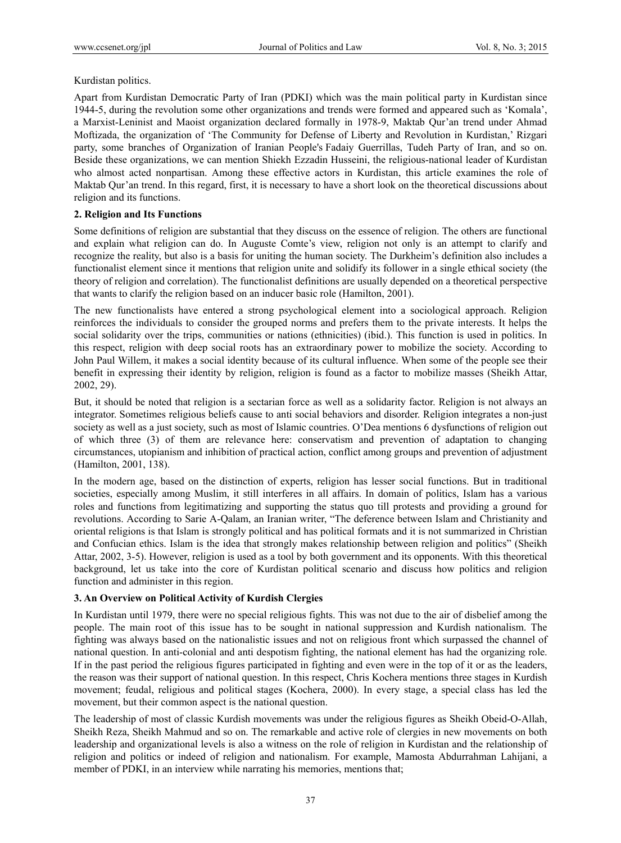## Kurdistan politics.

Apart from Kurdistan Democratic Party of Iran (PDKI) which was the main political party in Kurdistan since 1944-5, during the revolution some other organizations and trends were formed and appeared such as 'Komala', a Marxist-Leninist and Maoist organization declared formally in 1978-9, Maktab Qur'an trend under Ahmad Moftizada, the organization of 'The Community for Defense of Liberty and Revolution in Kurdistan,' Rizgari party, some branches of Organization of Iranian People's Fadaiy Guerrillas, Tudeh Party of Iran, and so on. Beside these organizations, we can mention Shiekh Ezzadin Husseini, the religious-national leader of Kurdistan who almost acted nonpartisan. Among these effective actors in Kurdistan, this article examines the role of Maktab Qur'an trend. In this regard, first, it is necessary to have a short look on the theoretical discussions about religion and its functions.

## **2. Religion and Its Functions**

Some definitions of religion are substantial that they discuss on the essence of religion. The others are functional and explain what religion can do. In Auguste Comte's view, religion not only is an attempt to clarify and recognize the reality, but also is a basis for uniting the human society. The Durkheim's definition also includes a functionalist element since it mentions that religion unite and solidify its follower in a single ethical society (the theory of religion and correlation). The functionalist definitions are usually depended on a theoretical perspective that wants to clarify the religion based on an inducer basic role (Hamilton, 2001).

The new functionalists have entered a strong psychological element into a sociological approach. Religion reinforces the individuals to consider the grouped norms and prefers them to the private interests. It helps the social solidarity over the trips, communities or nations (ethnicities) (ibid.). This function is used in politics. In this respect, religion with deep social roots has an extraordinary power to mobilize the society. According to John Paul Willem, it makes a social identity because of its cultural influence. When some of the people see their benefit in expressing their identity by religion, religion is found as a factor to mobilize masses (Sheikh Attar, 2002, 29).

But, it should be noted that religion is a sectarian force as well as a solidarity factor. Religion is not always an integrator. Sometimes religious beliefs cause to anti social behaviors and disorder. Religion integrates a non-just society as well as a just society, such as most of Islamic countries. O'Dea mentions 6 dysfunctions of religion out of which three (3) of them are relevance here: conservatism and prevention of adaptation to changing circumstances, utopianism and inhibition of practical action, conflict among groups and prevention of adjustment (Hamilton, 2001, 138).

In the modern age, based on the distinction of experts, religion has lesser social functions. But in traditional societies, especially among Muslim, it still interferes in all affairs. In domain of politics, Islam has a various roles and functions from legitimatizing and supporting the status quo till protests and providing a ground for revolutions. According to Sarie A-Qalam, an Iranian writer, "The deference between Islam and Christianity and oriental religions is that Islam is strongly political and has political formats and it is not summarized in Christian and Confucian ethics. Islam is the idea that strongly makes relationship between religion and politics" (Sheikh Attar, 2002, 3-5). However, religion is used as a tool by both government and its opponents. With this theoretical background, let us take into the core of Kurdistan political scenario and discuss how politics and religion function and administer in this region.

# **3. An Overview on Political Activity of Kurdish Clergies**

In Kurdistan until 1979, there were no special religious fights. This was not due to the air of disbelief among the people. The main root of this issue has to be sought in national suppression and Kurdish nationalism. The fighting was always based on the nationalistic issues and not on religious front which surpassed the channel of national question. In anti-colonial and anti despotism fighting, the national element has had the organizing role. If in the past period the religious figures participated in fighting and even were in the top of it or as the leaders, the reason was their support of national question. In this respect, Chris Kochera mentions three stages in Kurdish movement; feudal, religious and political stages (Kochera, 2000). In every stage, a special class has led the movement, but their common aspect is the national question.

The leadership of most of classic Kurdish movements was under the religious figures as Sheikh Obeid-O-Allah, Sheikh Reza, Sheikh Mahmud and so on. The remarkable and active role of clergies in new movements on both leadership and organizational levels is also a witness on the role of religion in Kurdistan and the relationship of religion and politics or indeed of religion and nationalism. For example, Mamosta Abdurrahman Lahijani, a member of PDKI, in an interview while narrating his memories, mentions that;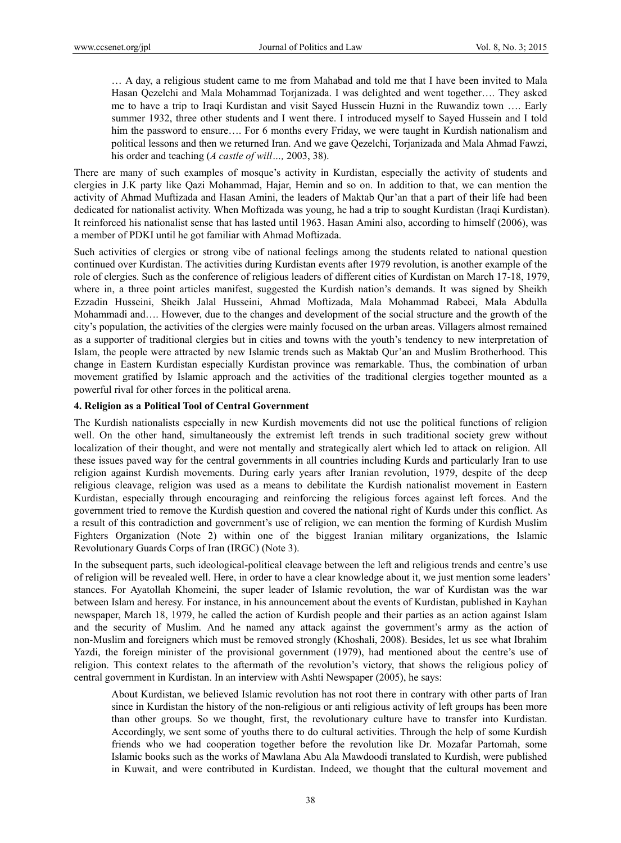… A day, a religious student came to me from Mahabad and told me that I have been invited to Mala Hasan Qezelchi and Mala Mohammad Torjanizada. I was delighted and went together…. They asked me to have a trip to Iraqi Kurdistan and visit Sayed Hussein Huzni in the Ruwandiz town …. Early summer 1932, three other students and I went there. I introduced myself to Sayed Hussein and I told him the password to ensure.... For 6 months every Friday, we were taught in Kurdish nationalism and political lessons and then we returned Iran. And we gave Qezelchi, Torjanizada and Mala Ahmad Fawzi, his order and teaching (*A castle of will…,* 2003, 38).

There are many of such examples of mosque's activity in Kurdistan, especially the activity of students and clergies in J.K party like Qazi Mohammad, Hajar, Hemin and so on. In addition to that, we can mention the activity of Ahmad Muftizada and Hasan Amini, the leaders of Maktab Qur'an that a part of their life had been dedicated for nationalist activity. When Moftizada was young, he had a trip to sought Kurdistan (Iraqi Kurdistan). It reinforced his nationalist sense that has lasted until 1963. Hasan Amini also, according to himself (2006), was a member of PDKI until he got familiar with Ahmad Moftizada.

Such activities of clergies or strong vibe of national feelings among the students related to national question continued over Kurdistan. The activities during Kurdistan events after 1979 revolution, is another example of the role of clergies. Such as the conference of religious leaders of different cities of Kurdistan on March 17-18, 1979, where in, a three point articles manifest, suggested the Kurdish nation's demands. It was signed by Sheikh Ezzadin Husseini, Sheikh Jalal Husseini, Ahmad Moftizada, Mala Mohammad Rabeei, Mala Abdulla Mohammadi and…. However, due to the changes and development of the social structure and the growth of the city's population, the activities of the clergies were mainly focused on the urban areas. Villagers almost remained as a supporter of traditional clergies but in cities and towns with the youth's tendency to new interpretation of Islam, the people were attracted by new Islamic trends such as Maktab Qur'an and Muslim Brotherhood. This change in Eastern Kurdistan especially Kurdistan province was remarkable. Thus, the combination of urban movement gratified by Islamic approach and the activities of the traditional clergies together mounted as a powerful rival for other forces in the political arena.

#### **4. Religion as a Political Tool of Central Government**

The Kurdish nationalists especially in new Kurdish movements did not use the political functions of religion well. On the other hand, simultaneously the extremist left trends in such traditional society grew without localization of their thought, and were not mentally and strategically alert which led to attack on religion. All these issues paved way for the central governments in all countries including Kurds and particularly Iran to use religion against Kurdish movements. During early years after Iranian revolution, 1979, despite of the deep religious cleavage, religion was used as a means to debilitate the Kurdish nationalist movement in Eastern Kurdistan, especially through encouraging and reinforcing the religious forces against left forces. And the government tried to remove the Kurdish question and covered the national right of Kurds under this conflict. As a result of this contradiction and government's use of religion, we can mention the forming of Kurdish Muslim Fighters Organization (Note 2) within one of the biggest Iranian military organizations, the Islamic Revolutionary Guards Corps of Iran (IRGC) (Note 3).

In the subsequent parts, such ideological-political cleavage between the left and religious trends and centre's use of religion will be revealed well. Here, in order to have a clear knowledge about it, we just mention some leaders' stances. For Ayatollah Khomeini, the super leader of Islamic revolution, the war of Kurdistan was the war between Islam and heresy. For instance, in his announcement about the events of Kurdistan, published in Kayhan newspaper, March 18, 1979, he called the action of Kurdish people and their parties as an action against Islam and the security of Muslim. And he named any attack against the government's army as the action of non-Muslim and foreigners which must be removed strongly (Khoshali, 2008). Besides, let us see what Ibrahim Yazdi, the foreign minister of the provisional government (1979), had mentioned about the centre's use of religion. This context relates to the aftermath of the revolution's victory, that shows the religious policy of central government in Kurdistan. In an interview with Ashti Newspaper (2005), he says:

About Kurdistan, we believed Islamic revolution has not root there in contrary with other parts of Iran since in Kurdistan the history of the non-religious or anti religious activity of left groups has been more than other groups. So we thought, first, the revolutionary culture have to transfer into Kurdistan. Accordingly, we sent some of youths there to do cultural activities. Through the help of some Kurdish friends who we had cooperation together before the revolution like Dr. Mozafar Partomah, some Islamic books such as the works of Mawlana Abu Ala Mawdoodi translated to Kurdish, were published in Kuwait, and were contributed in Kurdistan. Indeed, we thought that the cultural movement and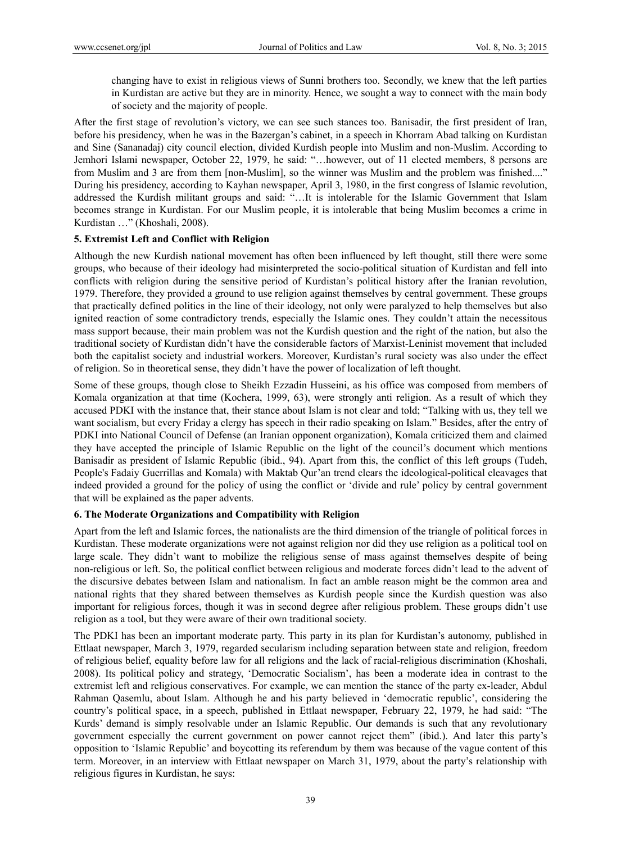changing have to exist in religious views of Sunni brothers too. Secondly, we knew that the left parties in Kurdistan are active but they are in minority. Hence, we sought a way to connect with the main body of society and the majority of people.

After the first stage of revolution's victory, we can see such stances too. Banisadir, the first president of Iran, before his presidency, when he was in the Bazergan's cabinet, in a speech in Khorram Abad talking on Kurdistan and Sine (Sananadaj) city council election, divided Kurdish people into Muslim and non-Muslim. According to Jemhori Islami newspaper, October 22, 1979, he said: "…however, out of 11 elected members, 8 persons are from Muslim and 3 are from them [non-Muslim], so the winner was Muslim and the problem was finished...." During his presidency, according to Kayhan newspaper, April 3, 1980, in the first congress of Islamic revolution, addressed the Kurdish militant groups and said: "…It is intolerable for the Islamic Government that Islam becomes strange in Kurdistan. For our Muslim people, it is intolerable that being Muslim becomes a crime in Kurdistan …" (Khoshali, 2008).

#### **5. Extremist Left and Conflict with Religion**

Although the new Kurdish national movement has often been influenced by left thought, still there were some groups, who because of their ideology had misinterpreted the socio-political situation of Kurdistan and fell into conflicts with religion during the sensitive period of Kurdistan's political history after the Iranian revolution, 1979. Therefore, they provided a ground to use religion against themselves by central government. These groups that practically defined politics in the line of their ideology, not only were paralyzed to help themselves but also ignited reaction of some contradictory trends, especially the Islamic ones. They couldn't attain the necessitous mass support because, their main problem was not the Kurdish question and the right of the nation, but also the traditional society of Kurdistan didn't have the considerable factors of Marxist-Leninist movement that included both the capitalist society and industrial workers. Moreover, Kurdistan's rural society was also under the effect of religion. So in theoretical sense, they didn't have the power of localization of left thought.

Some of these groups, though close to Sheikh Ezzadin Husseini, as his office was composed from members of Komala organization at that time (Kochera, 1999, 63), were strongly anti religion. As a result of which they accused PDKI with the instance that, their stance about Islam is not clear and told; "Talking with us, they tell we want socialism, but every Friday a clergy has speech in their radio speaking on Islam." Besides, after the entry of PDKI into National Council of Defense (an Iranian opponent organization), Komala criticized them and claimed they have accepted the principle of Islamic Republic on the light of the council's document which mentions Banisadir as president of Islamic Republic (ibid., 94). Apart from this, the conflict of this left groups (Tudeh, People's Fadaiy Guerrillas and Komala) with Maktab Qur'an trend clears the ideological-political cleavages that indeed provided a ground for the policy of using the conflict or 'divide and rule' policy by central government that will be explained as the paper advents.

## **6. The Moderate Organizations and Compatibility with Religion**

Apart from the left and Islamic forces, the nationalists are the third dimension of the triangle of political forces in Kurdistan. These moderate organizations were not against religion nor did they use religion as a political tool on large scale. They didn't want to mobilize the religious sense of mass against themselves despite of being non-religious or left. So, the political conflict between religious and moderate forces didn't lead to the advent of the discursive debates between Islam and nationalism. In fact an amble reason might be the common area and national rights that they shared between themselves as Kurdish people since the Kurdish question was also important for religious forces, though it was in second degree after religious problem. These groups didn't use religion as a tool, but they were aware of their own traditional society.

The PDKI has been an important moderate party. This party in its plan for Kurdistan's autonomy, published in Ettlaat newspaper, March 3, 1979, regarded secularism including separation between state and religion, freedom of religious belief, equality before law for all religions and the lack of racial-religious discrimination (Khoshali, 2008). Its political policy and strategy, 'Democratic Socialism', has been a moderate idea in contrast to the extremist left and religious conservatives. For example, we can mention the stance of the party ex-leader, Abdul Rahman Qasemlu, about Islam. Although he and his party believed in 'democratic republic', considering the country's political space, in a speech, published in Ettlaat newspaper, February 22, 1979, he had said: "The Kurds' demand is simply resolvable under an Islamic Republic. Our demands is such that any revolutionary government especially the current government on power cannot reject them" (ibid.). And later this party's opposition to 'Islamic Republic' and boycotting its referendum by them was because of the vague content of this term. Moreover, in an interview with Ettlaat newspaper on March 31, 1979, about the party's relationship with religious figures in Kurdistan, he says: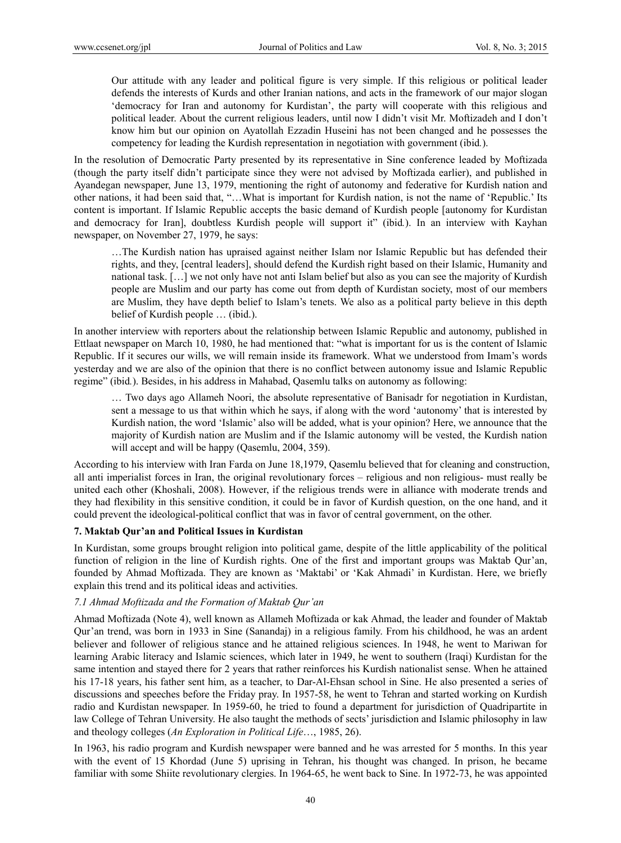Our attitude with any leader and political figure is very simple. If this religious or political leader defends the interests of Kurds and other Iranian nations, and acts in the framework of our major slogan 'democracy for Iran and autonomy for Kurdistan', the party will cooperate with this religious and political leader. About the current religious leaders, until now I didn't visit Mr. Moftizadeh and I don't know him but our opinion on Ayatollah Ezzadin Huseini has not been changed and he possesses the competency for leading the Kurdish representation in negotiation with government (ibid*.*).

In the resolution of Democratic Party presented by its representative in Sine conference leaded by Moftizada (though the party itself didn't participate since they were not advised by Moftizada earlier), and published in Ayandegan newspaper, June 13, 1979, mentioning the right of autonomy and federative for Kurdish nation and other nations, it had been said that, "…What is important for Kurdish nation, is not the name of 'Republic.' Its content is important. If Islamic Republic accepts the basic demand of Kurdish people [autonomy for Kurdistan and democracy for Iran], doubtless Kurdish people will support it" (ibid*.*). In an interview with Kayhan newspaper, on November 27, 1979, he says:

…The Kurdish nation has upraised against neither Islam nor Islamic Republic but has defended their rights, and they, [central leaders], should defend the Kurdish right based on their Islamic, Humanity and national task. […] we not only have not anti Islam belief but also as you can see the majority of Kurdish people are Muslim and our party has come out from depth of Kurdistan society, most of our members are Muslim, they have depth belief to Islam's tenets. We also as a political party believe in this depth belief of Kurdish people … (ibid.).

In another interview with reporters about the relationship between Islamic Republic and autonomy, published in Ettlaat newspaper on March 10, 1980, he had mentioned that: "what is important for us is the content of Islamic Republic. If it secures our wills, we will remain inside its framework. What we understood from Imam's words yesterday and we are also of the opinion that there is no conflict between autonomy issue and Islamic Republic regime" (ibid*.*). Besides, in his address in Mahabad, Qasemlu talks on autonomy as following:

… Two days ago Allameh Noori, the absolute representative of Banisadr for negotiation in Kurdistan, sent a message to us that within which he says, if along with the word 'autonomy' that is interested by Kurdish nation, the word 'Islamic' also will be added, what is your opinion? Here, we announce that the majority of Kurdish nation are Muslim and if the Islamic autonomy will be vested, the Kurdish nation will accept and will be happy (Qasemlu, 2004, 359).

According to his interview with Iran Farda on June 18,1979, Qasemlu believed that for cleaning and construction, all anti imperialist forces in Iran, the original revolutionary forces – religious and non religious- must really be united each other (Khoshali, 2008). However, if the religious trends were in alliance with moderate trends and they had flexibility in this sensitive condition, it could be in favor of Kurdish question, on the one hand, and it could prevent the ideological-political conflict that was in favor of central government, on the other.

#### **7. Maktab Qur'an and Political Issues in Kurdistan**

In Kurdistan, some groups brought religion into political game, despite of the little applicability of the political function of religion in the line of Kurdish rights. One of the first and important groups was Maktab Qur'an, founded by Ahmad Moftizada. They are known as 'Maktabi' or 'Kak Ahmadi' in Kurdistan. Here, we briefly explain this trend and its political ideas and activities.

#### *7.1 Ahmad Moftizada and the Formation of Maktab Qur'an*

Ahmad Moftizada (Note 4), well known as Allameh Moftizada or kak Ahmad, the leader and founder of Maktab Qur'an trend, was born in 1933 in Sine (Sanandaj) in a religious family. From his childhood, he was an ardent believer and follower of religious stance and he attained religious sciences. In 1948, he went to Mariwan for learning Arabic literacy and Islamic sciences, which later in 1949, he went to southern (Iraqi) Kurdistan for the same intention and stayed there for 2 years that rather reinforces his Kurdish nationalist sense. When he attained his 17-18 years, his father sent him, as a teacher, to Dar-Al-Ehsan school in Sine. He also presented a series of discussions and speeches before the Friday pray. In 1957-58, he went to Tehran and started working on Kurdish radio and Kurdistan newspaper. In 1959-60, he tried to found a department for jurisdiction of Quadripartite in law College of Tehran University. He also taught the methods of sects' jurisdiction and Islamic philosophy in law and theology colleges (*An Exploration in Political Life*…, 1985, 26).

In 1963, his radio program and Kurdish newspaper were banned and he was arrested for 5 months. In this year with the event of 15 Khordad (June 5) uprising in Tehran, his thought was changed. In prison, he became familiar with some Shiite revolutionary clergies. In 1964-65, he went back to Sine. In 1972-73, he was appointed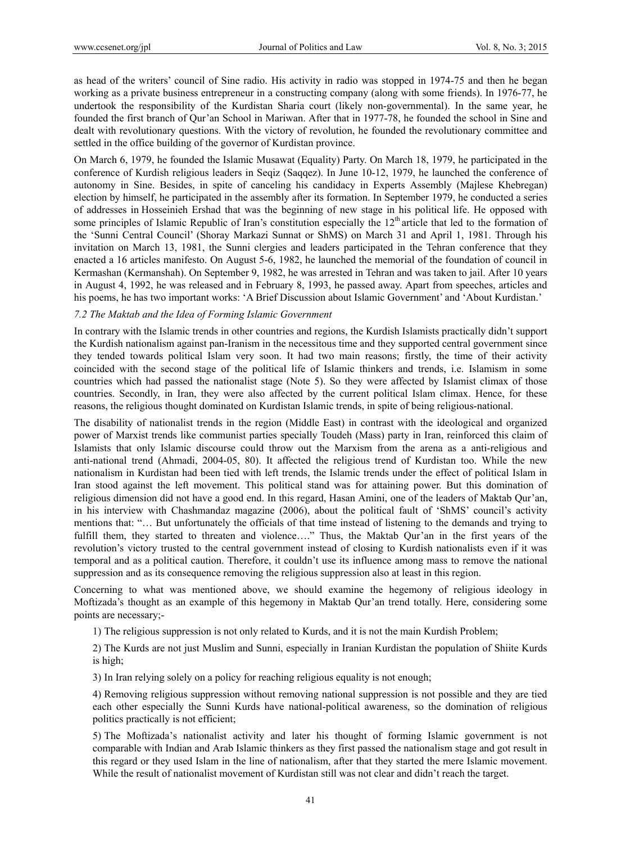as head of the writers' council of Sine radio. His activity in radio was stopped in 1974-75 and then he began working as a private business entrepreneur in a constructing company (along with some friends). In 1976-77, he undertook the responsibility of the Kurdistan Sharia court (likely non-governmental). In the same year, he founded the first branch of Qur'an School in Mariwan. After that in 1977-78, he founded the school in Sine and dealt with revolutionary questions. With the victory of revolution, he founded the revolutionary committee and settled in the office building of the governor of Kurdistan province.

On March 6, 1979, he founded the Islamic Musawat (Equality) Party. On March 18, 1979, he participated in the conference of Kurdish religious leaders in Seqiz (Saqqez). In June 10-12, 1979, he launched the conference of autonomy in Sine. Besides, in spite of canceling his candidacy in Experts Assembly (Majlese Khebregan) election by himself, he participated in the assembly after its formation. In September 1979, he conducted a series of addresses in Hosseinieh Ershad that was the beginning of new stage in his political life. He opposed with some principles of Islamic Republic of Iran's constitution especially the  $12<sup>th</sup>$  article that led to the formation of the 'Sunni Central Council' (Shoray Markazi Sunnat or ShMS) on March 31 and April 1, 1981. Through his invitation on March 13, 1981, the Sunni clergies and leaders participated in the Tehran conference that they enacted a 16 articles manifesto. On August 5-6, 1982, he launched the memorial of the foundation of council in Kermashan (Kermanshah). On September 9, 1982, he was arrested in Tehran and was taken to jail. After 10 years in August 4, 1992, he was released and in February 8, 1993, he passed away. Apart from speeches, articles and his poems, he has two important works: 'A Brief Discussion about Islamic Government' and 'About Kurdistan.'

#### *7.2 The Maktab and the Idea of Forming Islamic Government*

In contrary with the Islamic trends in other countries and regions, the Kurdish Islamists practically didn't support the Kurdish nationalism against pan-Iranism in the necessitous time and they supported central government since they tended towards political Islam very soon. It had two main reasons; firstly, the time of their activity coincided with the second stage of the political life of Islamic thinkers and trends, i.e. Islamism in some countries which had passed the nationalist stage (Note 5). So they were affected by Islamist climax of those countries. Secondly, in Iran, they were also affected by the current political Islam climax. Hence, for these reasons, the religious thought dominated on Kurdistan Islamic trends, in spite of being religious-national.

The disability of nationalist trends in the region (Middle East) in contrast with the ideological and organized power of Marxist trends like communist parties specially Toudeh (Mass) party in Iran, reinforced this claim of Islamists that only Islamic discourse could throw out the Marxism from the arena as a anti-religious and anti-national trend (Ahmadi, 2004-05, 80). It affected the religious trend of Kurdistan too. While the new nationalism in Kurdistan had been tied with left trends, the Islamic trends under the effect of political Islam in Iran stood against the left movement. This political stand was for attaining power. But this domination of religious dimension did not have a good end. In this regard, Hasan Amini, one of the leaders of Maktab Qur'an, in his interview with Chashmandaz magazine (2006), about the political fault of 'ShMS' council's activity mentions that: "… But unfortunately the officials of that time instead of listening to the demands and trying to fulfill them, they started to threaten and violence…." Thus, the Maktab Qur'an in the first years of the revolution's victory trusted to the central government instead of closing to Kurdish nationalists even if it was temporal and as a political caution. Therefore, it couldn't use its influence among mass to remove the national suppression and as its consequence removing the religious suppression also at least in this region.

Concerning to what was mentioned above, we should examine the hegemony of religious ideology in Moftizada's thought as an example of this hegemony in Maktab Qur'an trend totally. Here, considering some points are necessary;-

1) The religious suppression is not only related to Kurds, and it is not the main Kurdish Problem;

2) The Kurds are not just Muslim and Sunni, especially in Iranian Kurdistan the population of Shiite Kurds is high;

3) In Iran relying solely on a policy for reaching religious equality is not enough;

4) Removing religious suppression without removing national suppression is not possible and they are tied each other especially the Sunni Kurds have national-political awareness, so the domination of religious politics practically is not efficient;

5) The Moftizada's nationalist activity and later his thought of forming Islamic government is not comparable with Indian and Arab Islamic thinkers as they first passed the nationalism stage and got result in this regard or they used Islam in the line of nationalism, after that they started the mere Islamic movement. While the result of nationalist movement of Kurdistan still was not clear and didn't reach the target.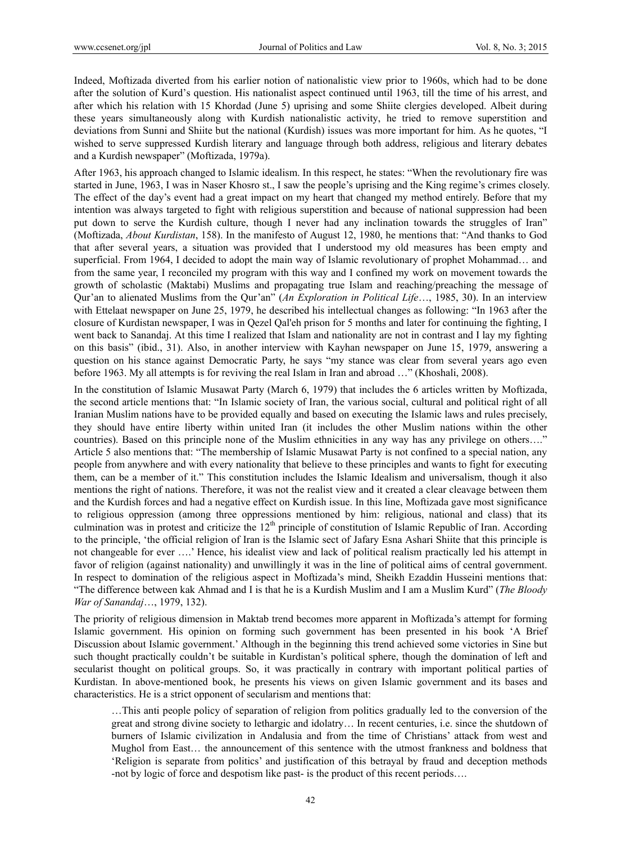Indeed, Moftizada diverted from his earlier notion of nationalistic view prior to 1960s, which had to be done after the solution of Kurd's question. His nationalist aspect continued until 1963, till the time of his arrest, and after which his relation with 15 Khordad (June 5) uprising and some Shiite clergies developed. Albeit during these years simultaneously along with Kurdish nationalistic activity, he tried to remove superstition and deviations from Sunni and Shiite but the national (Kurdish) issues was more important for him. As he quotes, "I wished to serve suppressed Kurdish literary and language through both address, religious and literary debates and a Kurdish newspaper" (Moftizada, 1979a).

After 1963, his approach changed to Islamic idealism. In this respect, he states: "When the revolutionary fire was started in June, 1963, I was in Naser Khosro st., I saw the people's uprising and the King regime's crimes closely. The effect of the day's event had a great impact on my heart that changed my method entirely. Before that my intention was always targeted to fight with religious superstition and because of national suppression had been put down to serve the Kurdish culture, though I never had any inclination towards the struggles of Iran" (Moftizada, *About Kurdistan*, 158). In the manifesto of August 12, 1980, he mentions that: "And thanks to God that after several years, a situation was provided that I understood my old measures has been empty and superficial. From 1964, I decided to adopt the main way of Islamic revolutionary of prophet Mohammad... and from the same year, I reconciled my program with this way and I confined my work on movement towards the growth of scholastic (Maktabi) Muslims and propagating true Islam and reaching/preaching the message of Qur'an to alienated Muslims from the Qur'an" (*An Exploration in Political Life*…, 1985, 30). In an interview with Ettelaat newspaper on June 25, 1979, he described his intellectual changes as following: "In 1963 after the closure of Kurdistan newspaper, I was in Qezel Qal'eh prison for 5 months and later for continuing the fighting, I went back to Sanandaj. At this time I realized that Islam and nationality are not in contrast and I lay my fighting on this basis" (ibid., 31). Also, in another interview with Kayhan newspaper on June 15, 1979, answering a question on his stance against Democratic Party, he says "my stance was clear from several years ago even before 1963. My all attempts is for reviving the real Islam in Iran and abroad …" (Khoshali, 2008).

In the constitution of Islamic Musawat Party (March 6, 1979) that includes the 6 articles written by Moftizada, the second article mentions that: "In Islamic society of Iran, the various social, cultural and political right of all Iranian Muslim nations have to be provided equally and based on executing the Islamic laws and rules precisely, they should have entire liberty within united Iran (it includes the other Muslim nations within the other countries). Based on this principle none of the Muslim ethnicities in any way has any privilege on others…." Article 5 also mentions that: "The membership of Islamic Musawat Party is not confined to a special nation, any people from anywhere and with every nationality that believe to these principles and wants to fight for executing them, can be a member of it." This constitution includes the Islamic Idealism and universalism, though it also mentions the right of nations. Therefore, it was not the realist view and it created a clear cleavage between them and the Kurdish forces and had a negative effect on Kurdish issue. In this line, Moftizada gave most significance to religious oppression (among three oppressions mentioned by him: religious, national and class) that its culmination was in protest and criticize the  $12<sup>th</sup>$  principle of constitution of Islamic Republic of Iran. According to the principle, 'the official religion of Iran is the Islamic sect of Jafary Esna Ashari Shiite that this principle is not changeable for ever ….' Hence, his idealist view and lack of political realism practically led his attempt in favor of religion (against nationality) and unwillingly it was in the line of political aims of central government. In respect to domination of the religious aspect in Moftizada's mind, Sheikh Ezaddin Husseini mentions that: "The difference between kak Ahmad and I is that he is a Kurdish Muslim and I am a Muslim Kurd" (*The Bloody War of Sanandaj*…, 1979, 132).

The priority of religious dimension in Maktab trend becomes more apparent in Moftizada's attempt for forming Islamic government. His opinion on forming such government has been presented in his book 'A Brief Discussion about Islamic government.' Although in the beginning this trend achieved some victories in Sine but such thought practically couldn't be suitable in Kurdistan's political sphere, though the domination of left and secularist thought on political groups. So, it was practically in contrary with important political parties of Kurdistan. In above-mentioned book, he presents his views on given Islamic government and its bases and characteristics. He is a strict opponent of secularism and mentions that:

…This anti people policy of separation of religion from politics gradually led to the conversion of the great and strong divine society to lethargic and idolatry… In recent centuries, i.e. since the shutdown of burners of Islamic civilization in Andalusia and from the time of Christians' attack from west and Mughol from East… the announcement of this sentence with the utmost frankness and boldness that 'Religion is separate from politics' and justification of this betrayal by fraud and deception methods -not by logic of force and despotism like past- is the product of this recent periods….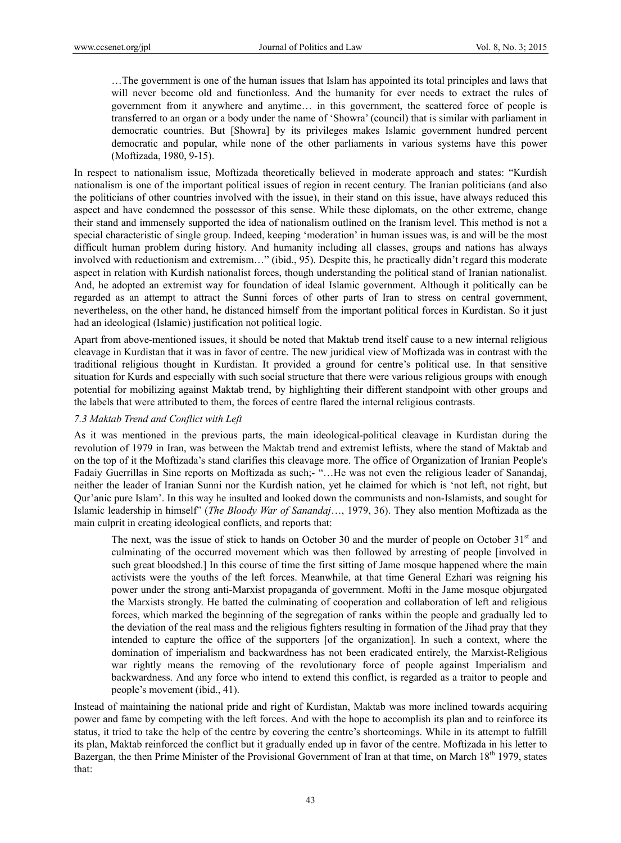…The government is one of the human issues that Islam has appointed its total principles and laws that will never become old and functionless. And the humanity for ever needs to extract the rules of government from it anywhere and anytime… in this government, the scattered force of people is transferred to an organ or a body under the name of 'Showra' (council) that is similar with parliament in democratic countries. But [Showra] by its privileges makes Islamic government hundred percent democratic and popular, while none of the other parliaments in various systems have this power (Moftizada, 1980, 9-15).

In respect to nationalism issue, Moftizada theoretically believed in moderate approach and states: "Kurdish nationalism is one of the important political issues of region in recent century. The Iranian politicians (and also the politicians of other countries involved with the issue), in their stand on this issue, have always reduced this aspect and have condemned the possessor of this sense. While these diplomats, on the other extreme, change their stand and immensely supported the idea of nationalism outlined on the Iranism level. This method is not a special characteristic of single group. Indeed, keeping 'moderation' in human issues was, is and will be the most difficult human problem during history. And humanity including all classes, groups and nations has always involved with reductionism and extremism…" (ibid., 95). Despite this, he practically didn't regard this moderate aspect in relation with Kurdish nationalist forces, though understanding the political stand of Iranian nationalist. And, he adopted an extremist way for foundation of ideal Islamic government. Although it politically can be regarded as an attempt to attract the Sunni forces of other parts of Iran to stress on central government, nevertheless, on the other hand, he distanced himself from the important political forces in Kurdistan. So it just had an ideological (Islamic) justification not political logic.

Apart from above-mentioned issues, it should be noted that Maktab trend itself cause to a new internal religious cleavage in Kurdistan that it was in favor of centre. The new juridical view of Moftizada was in contrast with the traditional religious thought in Kurdistan. It provided a ground for centre's political use. In that sensitive situation for Kurds and especially with such social structure that there were various religious groups with enough potential for mobilizing against Maktab trend, by highlighting their different standpoint with other groups and the labels that were attributed to them, the forces of centre flared the internal religious contrasts.

## *7.3 Maktab Trend and Conflict with Left*

As it was mentioned in the previous parts, the main ideological-political cleavage in Kurdistan during the revolution of 1979 in Iran, was between the Maktab trend and extremist leftists, where the stand of Maktab and on the top of it the Moftizada's stand clarifies this cleavage more. The office of Organization of Iranian People's Fadaiy Guerrillas in Sine reports on Moftizada as such;- "...He was not even the religious leader of Sanandaj, neither the leader of Iranian Sunni nor the Kurdish nation, yet he claimed for which is 'not left, not right, but Qur'anic pure Islam'. In this way he insulted and looked down the communists and non-Islamists, and sought for Islamic leadership in himself" (*The Bloody War of Sanandaj*…, 1979, 36). They also mention Moftizada as the main culprit in creating ideological conflicts, and reports that:

The next, was the issue of stick to hands on October 30 and the murder of people on October  $31<sup>st</sup>$  and culminating of the occurred movement which was then followed by arresting of people [involved in such great bloodshed.] In this course of time the first sitting of Jame mosque happened where the main activists were the youths of the left forces. Meanwhile, at that time General Ezhari was reigning his power under the strong anti-Marxist propaganda of government. Mofti in the Jame mosque objurgated the Marxists strongly. He batted the culminating of cooperation and collaboration of left and religious forces, which marked the beginning of the segregation of ranks within the people and gradually led to the deviation of the real mass and the religious fighters resulting in formation of the Jihad pray that they intended to capture the office of the supporters [of the organization]. In such a context, where the domination of imperialism and backwardness has not been eradicated entirely, the Marxist-Religious war rightly means the removing of the revolutionary force of people against Imperialism and backwardness. And any force who intend to extend this conflict, is regarded as a traitor to people and people's movement (ibid., 41).

Instead of maintaining the national pride and right of Kurdistan, Maktab was more inclined towards acquiring power and fame by competing with the left forces. And with the hope to accomplish its plan and to reinforce its status, it tried to take the help of the centre by covering the centre's shortcomings. While in its attempt to fulfill its plan, Maktab reinforced the conflict but it gradually ended up in favor of the centre. Moftizada in his letter to Bazergan, the then Prime Minister of the Provisional Government of Iran at that time, on March  $18<sup>th</sup>$  1979, states that: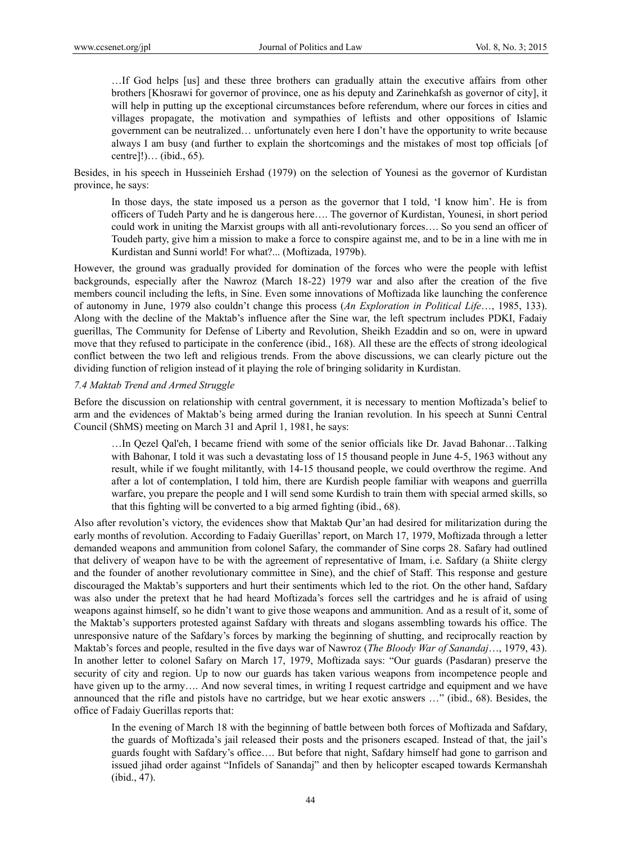…If God helps [us] and these three brothers can gradually attain the executive affairs from other brothers [Khosrawi for governor of province, one as his deputy and Zarinehkafsh as governor of city], it will help in putting up the exceptional circumstances before referendum, where our forces in cities and villages propagate, the motivation and sympathies of leftists and other oppositions of Islamic government can be neutralized… unfortunately even here I don't have the opportunity to write because always I am busy (and further to explain the shortcomings and the mistakes of most top officials [of centre]!)… (ibid., 65).

Besides, in his speech in Husseinieh Ershad (1979) on the selection of Younesi as the governor of Kurdistan province, he says:

In those days, the state imposed us a person as the governor that I told, 'I know him'. He is from officers of Tudeh Party and he is dangerous here…. The governor of Kurdistan, Younesi, in short period could work in uniting the Marxist groups with all anti-revolutionary forces…. So you send an officer of Toudeh party, give him a mission to make a force to conspire against me, and to be in a line with me in Kurdistan and Sunni world! For what?... (Moftizada, 1979b).

However, the ground was gradually provided for domination of the forces who were the people with leftist backgrounds, especially after the Nawroz (March 18-22) 1979 war and also after the creation of the five members council including the lefts, in Sine. Even some innovations of Moftizada like launching the conference of autonomy in June, 1979 also couldn't change this process (*An Exploration in Political Life*…, 1985, 133). Along with the decline of the Maktab's influence after the Sine war, the left spectrum includes PDKI, Fadaiy guerillas, The Community for Defense of Liberty and Revolution, Sheikh Ezaddin and so on, were in upward move that they refused to participate in the conference (ibid., 168). All these are the effects of strong ideological conflict between the two left and religious trends. From the above discussions, we can clearly picture out the dividing function of religion instead of it playing the role of bringing solidarity in Kurdistan.

## *7.4 Maktab Trend and Armed Struggle*

Before the discussion on relationship with central government, it is necessary to mention Moftizada's belief to arm and the evidences of Maktab's being armed during the Iranian revolution. In his speech at Sunni Central Council (ShMS) meeting on March 31 and April 1, 1981, he says:

…In Qezel Qal'eh, I became friend with some of the senior officials like Dr. Javad Bahonar…Talking with Bahonar, I told it was such a devastating loss of 15 thousand people in June 4-5, 1963 without any result, while if we fought militantly, with 14-15 thousand people, we could overthrow the regime. And after a lot of contemplation, I told him, there are Kurdish people familiar with weapons and guerrilla warfare, you prepare the people and I will send some Kurdish to train them with special armed skills, so that this fighting will be converted to a big armed fighting (ibid., 68).

Also after revolution's victory, the evidences show that Maktab Qur'an had desired for militarization during the early months of revolution. According to Fadaiy Guerillas' report, on March 17, 1979, Moftizada through a letter demanded weapons and ammunition from colonel Safary, the commander of Sine corps 28. Safary had outlined that delivery of weapon have to be with the agreement of representative of Imam, i.e. Safdary (a Shiite clergy and the founder of another revolutionary committee in Sine), and the chief of Staff. This response and gesture discouraged the Maktab's supporters and hurt their sentiments which led to the riot. On the other hand, Safdary was also under the pretext that he had heard Moftizada's forces sell the cartridges and he is afraid of using weapons against himself, so he didn't want to give those weapons and ammunition. And as a result of it, some of the Maktab's supporters protested against Safdary with threats and slogans assembling towards his office. The unresponsive nature of the Safdary's forces by marking the beginning of shutting, and reciprocally reaction by Maktab's forces and people, resulted in the five days war of Nawroz (*The Bloody War of Sanandaj*…, 1979, 43). In another letter to colonel Safary on March 17, 1979, Moftizada says: "Our guards (Pasdaran) preserve the security of city and region. Up to now our guards has taken various weapons from incompetence people and have given up to the army.... And now several times, in writing I request cartridge and equipment and we have announced that the rifle and pistols have no cartridge, but we hear exotic answers …" (ibid., 68). Besides, the office of Fadaiy Guerillas reports that:

In the evening of March 18 with the beginning of battle between both forces of Moftizada and Safdary, the guards of Moftizada's jail released their posts and the prisoners escaped. Instead of that, the jail's guards fought with Safdary's office…. But before that night, Safdary himself had gone to garrison and issued jihad order against "Infidels of Sanandaj" and then by helicopter escaped towards Kermanshah (ibid., 47).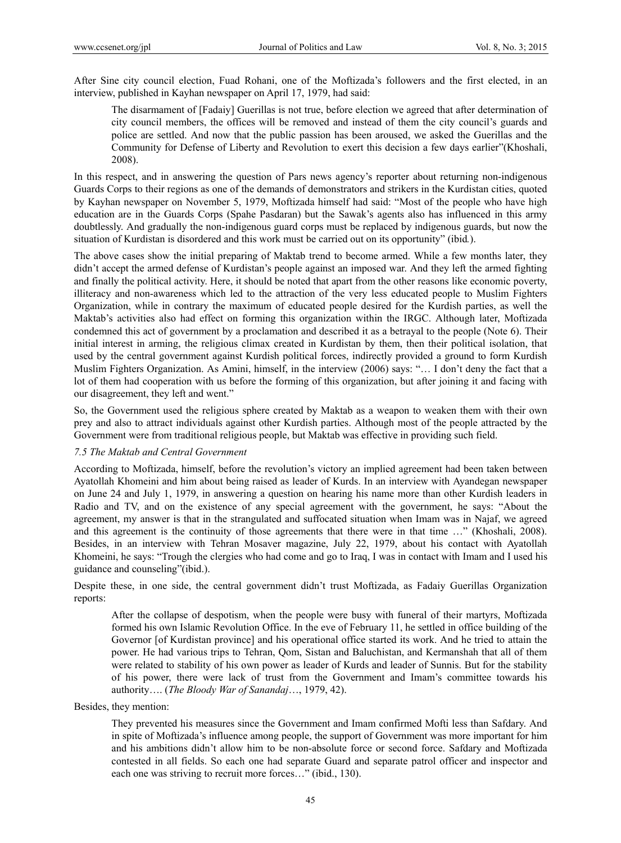After Sine city council election, Fuad Rohani, one of the Moftizada's followers and the first elected, in an interview, published in Kayhan newspaper on April 17, 1979, had said:

The disarmament of [Fadaiy] Guerillas is not true, before election we agreed that after determination of city council members, the offices will be removed and instead of them the city council's guards and police are settled. And now that the public passion has been aroused, we asked the Guerillas and the Community for Defense of Liberty and Revolution to exert this decision a few days earlier"(Khoshali, 2008).

In this respect, and in answering the question of Pars news agency's reporter about returning non-indigenous Guards Corps to their regions as one of the demands of demonstrators and strikers in the Kurdistan cities, quoted by Kayhan newspaper on November 5, 1979, Moftizada himself had said: "Most of the people who have high education are in the Guards Corps (Spahe Pasdaran) but the Sawak's agents also has influenced in this army doubtlessly. And gradually the non-indigenous guard corps must be replaced by indigenous guards, but now the situation of Kurdistan is disordered and this work must be carried out on its opportunity" (ibid*.*).

The above cases show the initial preparing of Maktab trend to become armed. While a few months later, they didn't accept the armed defense of Kurdistan's people against an imposed war. And they left the armed fighting and finally the political activity. Here, it should be noted that apart from the other reasons like economic poverty, illiteracy and non-awareness which led to the attraction of the very less educated people to Muslim Fighters Organization, while in contrary the maximum of educated people desired for the Kurdish parties, as well the Maktab's activities also had effect on forming this organization within the IRGC. Although later, Moftizada condemned this act of government by a proclamation and described it as a betrayal to the people (Note 6). Their initial interest in arming, the religious climax created in Kurdistan by them, then their political isolation, that used by the central government against Kurdish political forces, indirectly provided a ground to form Kurdish Muslim Fighters Organization. As Amini, himself, in the interview (2006) says: "… I don't deny the fact that a lot of them had cooperation with us before the forming of this organization, but after joining it and facing with our disagreement, they left and went."

So, the Government used the religious sphere created by Maktab as a weapon to weaken them with their own prey and also to attract individuals against other Kurdish parties. Although most of the people attracted by the Government were from traditional religious people, but Maktab was effective in providing such field.

## *7.5 The Maktab and Central Government*

According to Moftizada, himself, before the revolution's victory an implied agreement had been taken between Ayatollah Khomeini and him about being raised as leader of Kurds. In an interview with Ayandegan newspaper on June 24 and July 1, 1979, in answering a question on hearing his name more than other Kurdish leaders in Radio and TV, and on the existence of any special agreement with the government, he says: "About the agreement, my answer is that in the strangulated and suffocated situation when Imam was in Najaf, we agreed and this agreement is the continuity of those agreements that there were in that time …" (Khoshali, 2008). Besides, in an interview with Tehran Mosaver magazine, July 22, 1979, about his contact with Ayatollah Khomeini, he says: "Trough the clergies who had come and go to Iraq, I was in contact with Imam and I used his guidance and counseling"(ibid.).

Despite these, in one side, the central government didn't trust Moftizada, as Fadaiy Guerillas Organization reports:

After the collapse of despotism, when the people were busy with funeral of their martyrs, Moftizada formed his own Islamic Revolution Office. In the eve of February 11, he settled in office building of the Governor [of Kurdistan province] and his operational office started its work. And he tried to attain the power. He had various trips to Tehran, Qom, Sistan and Baluchistan, and Kermanshah that all of them were related to stability of his own power as leader of Kurds and leader of Sunnis. But for the stability of his power, there were lack of trust from the Government and Imam's committee towards his authority…. (*The Bloody War of Sanandaj*…, 1979, 42).

#### Besides, they mention:

They prevented his measures since the Government and Imam confirmed Mofti less than Safdary. And in spite of Moftizada's influence among people, the support of Government was more important for him and his ambitions didn't allow him to be non-absolute force or second force. Safdary and Moftizada contested in all fields. So each one had separate Guard and separate patrol officer and inspector and each one was striving to recruit more forces…" (ibid., 130).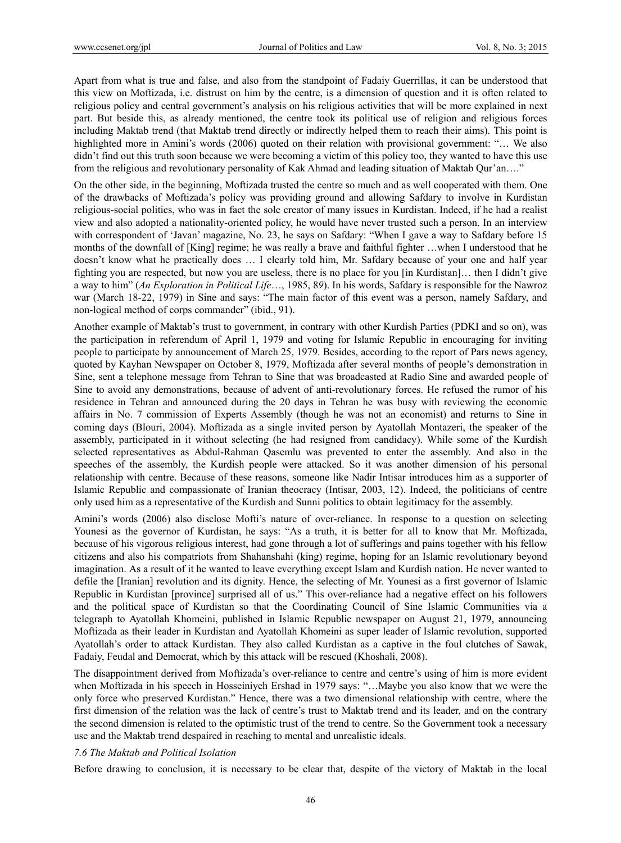Apart from what is true and false, and also from the standpoint of Fadaiy Guerrillas, it can be understood that this view on Moftizada, i.e. distrust on him by the centre, is a dimension of question and it is often related to religious policy and central government's analysis on his religious activities that will be more explained in next part. But beside this, as already mentioned, the centre took its political use of religion and religious forces including Maktab trend (that Maktab trend directly or indirectly helped them to reach their aims). This point is highlighted more in Amini's words (2006) quoted on their relation with provisional government: "... We also didn't find out this truth soon because we were becoming a victim of this policy too, they wanted to have this use from the religious and revolutionary personality of Kak Ahmad and leading situation of Maktab Qur'an…."

On the other side, in the beginning, Moftizada trusted the centre so much and as well cooperated with them. One of the drawbacks of Moftizada's policy was providing ground and allowing Safdary to involve in Kurdistan religious-social politics, who was in fact the sole creator of many issues in Kurdistan. Indeed, if he had a realist view and also adopted a nationality-oriented policy, he would have never trusted such a person. In an interview with correspondent of 'Javan' magazine, No. 23, he says on Safdary: "When I gave a way to Safdary before 15 months of the downfall of [King] regime; he was really a brave and faithful fighter …when I understood that he doesn't know what he practically does … I clearly told him, Mr. Safdary because of your one and half year fighting you are respected, but now you are useless, there is no place for you [in Kurdistan]… then I didn't give a way to him" (*An Exploration in Political Life*…, 1985, 8*9*). In his words, Safdary is responsible for the Nawroz war (March 18-22, 1979) in Sine and says: "The main factor of this event was a person, namely Safdary, and non-logical method of corps commander" (ibid., 91).

Another example of Maktab's trust to government, in contrary with other Kurdish Parties (PDKI and so on), was the participation in referendum of April 1, 1979 and voting for Islamic Republic in encouraging for inviting people to participate by announcement of March 25, 1979. Besides, according to the report of Pars news agency, quoted by Kayhan Newspaper on October 8, 1979, Moftizada after several months of people's demonstration in Sine, sent a telephone message from Tehran to Sine that was broadcasted at Radio Sine and awarded people of Sine to avoid any demonstrations, because of advent of anti-revolutionary forces. He refused the rumor of his residence in Tehran and announced during the 20 days in Tehran he was busy with reviewing the economic affairs in No. 7 commission of Experts Assembly (though he was not an economist) and returns to Sine in coming days (Blouri, 2004). Moftizada as a single invited person by Ayatollah Montazeri, the speaker of the assembly, participated in it without selecting (he had resigned from candidacy). While some of the Kurdish selected representatives as Abdul-Rahman Qasemlu was prevented to enter the assembly. And also in the speeches of the assembly, the Kurdish people were attacked. So it was another dimension of his personal relationship with centre. Because of these reasons, someone like Nadir Intisar introduces him as a supporter of Islamic Republic and compassionate of Iranian theocracy (Intisar, 2003, 12). Indeed, the politicians of centre only used him as a representative of the Kurdish and Sunni politics to obtain legitimacy for the assembly.

Amini's words (2006) also disclose Mofti's nature of over-reliance. In response to a question on selecting Younesi as the governor of Kurdistan, he says: "As a truth, it is better for all to know that Mr. Moftizada, because of his vigorous religious interest, had gone through a lot of sufferings and pains together with his fellow citizens and also his compatriots from Shahanshahi (king) regime, hoping for an Islamic revolutionary beyond imagination. As a result of it he wanted to leave everything except Islam and Kurdish nation. He never wanted to defile the [Iranian] revolution and its dignity. Hence, the selecting of Mr. Younesi as a first governor of Islamic Republic in Kurdistan [province] surprised all of us." This over-reliance had a negative effect on his followers and the political space of Kurdistan so that the Coordinating Council of Sine Islamic Communities via a telegraph to Ayatollah Khomeini, published in Islamic Republic newspaper on August 21, 1979, announcing Moftizada as their leader in Kurdistan and Ayatollah Khomeini as super leader of Islamic revolution, supported Ayatollah's order to attack Kurdistan. They also called Kurdistan as a captive in the foul clutches of Sawak, Fadaiy, Feudal and Democrat, which by this attack will be rescued (Khoshali, 2008).

The disappointment derived from Moftizada's over-reliance to centre and centre's using of him is more evident when Moftizada in his speech in Hosseiniyeh Ershad in 1979 says: "…Maybe you also know that we were the only force who preserved Kurdistan." Hence, there was a two dimensional relationship with centre, where the first dimension of the relation was the lack of centre's trust to Maktab trend and its leader, and on the contrary the second dimension is related to the optimistic trust of the trend to centre. So the Government took a necessary use and the Maktab trend despaired in reaching to mental and unrealistic ideals.

#### *7.6 The Maktab and Political Isolation*

Before drawing to conclusion, it is necessary to be clear that, despite of the victory of Maktab in the local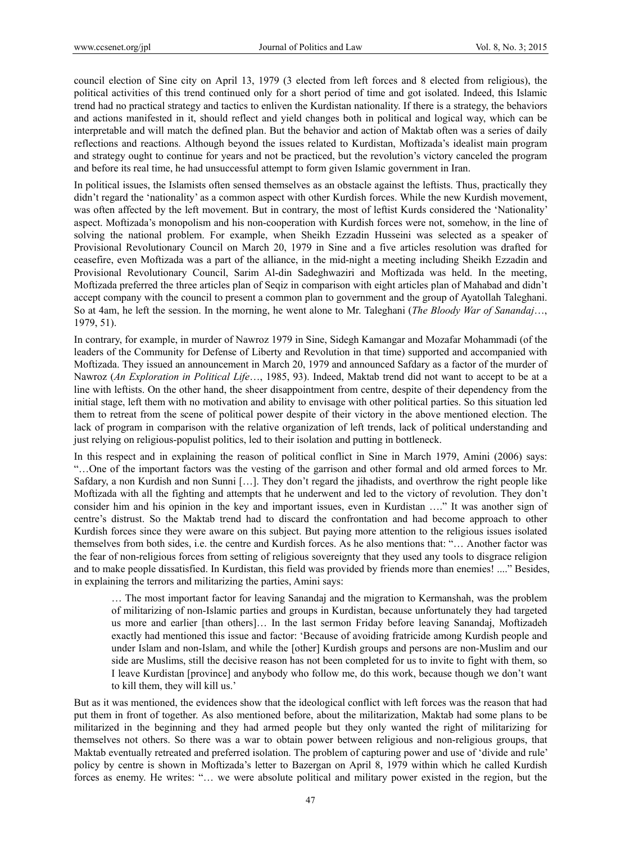council election of Sine city on April 13, 1979 (3 elected from left forces and 8 elected from religious), the political activities of this trend continued only for a short period of time and got isolated. Indeed, this Islamic trend had no practical strategy and tactics to enliven the Kurdistan nationality. If there is a strategy, the behaviors and actions manifested in it, should reflect and yield changes both in political and logical way, which can be interpretable and will match the defined plan. But the behavior and action of Maktab often was a series of daily reflections and reactions. Although beyond the issues related to Kurdistan, Moftizada's idealist main program and strategy ought to continue for years and not be practiced, but the revolution's victory canceled the program and before its real time, he had unsuccessful attempt to form given Islamic government in Iran.

In political issues, the Islamists often sensed themselves as an obstacle against the leftists. Thus, practically they didn't regard the 'nationality' as a common aspect with other Kurdish forces. While the new Kurdish movement, was often affected by the left movement. But in contrary, the most of leftist Kurds considered the 'Nationality' aspect. Moftizada's monopolism and his non-cooperation with Kurdish forces were not, somehow, in the line of solving the national problem. For example, when Sheikh Ezzadin Husseini was selected as a speaker of Provisional Revolutionary Council on March 20, 1979 in Sine and a five articles resolution was drafted for ceasefire, even Moftizada was a part of the alliance, in the mid-night a meeting including Sheikh Ezzadin and Provisional Revolutionary Council, Sarim Al-din Sadeghwaziri and Moftizada was held. In the meeting, Moftizada preferred the three articles plan of Seqiz in comparison with eight articles plan of Mahabad and didn't accept company with the council to present a common plan to government and the group of Ayatollah Taleghani. So at 4am, he left the session. In the morning, he went alone to Mr. Taleghani (*The Bloody War of Sanandaj*…, 1979, 51).

In contrary, for example, in murder of Nawroz 1979 in Sine, Sidegh Kamangar and Mozafar Mohammadi (of the leaders of the Community for Defense of Liberty and Revolution in that time) supported and accompanied with Moftizada. They issued an announcement in March 20, 1979 and announced Safdary as a factor of the murder of Nawroz (*An Exploration in Political Life*…, 1985, 93). Indeed, Maktab trend did not want to accept to be at a line with leftists. On the other hand, the sheer disappointment from centre, despite of their dependency from the initial stage, left them with no motivation and ability to envisage with other political parties. So this situation led them to retreat from the scene of political power despite of their victory in the above mentioned election. The lack of program in comparison with the relative organization of left trends, lack of political understanding and just relying on religious-populist politics, led to their isolation and putting in bottleneck.

In this respect and in explaining the reason of political conflict in Sine in March 1979, Amini (2006) says: "…One of the important factors was the vesting of the garrison and other formal and old armed forces to Mr. Safdary, a non Kurdish and non Sunni […]. They don't regard the jihadists, and overthrow the right people like Moftizada with all the fighting and attempts that he underwent and led to the victory of revolution. They don't consider him and his opinion in the key and important issues, even in Kurdistan …." It was another sign of centre's distrust. So the Maktab trend had to discard the confrontation and had become approach to other Kurdish forces since they were aware on this subject. But paying more attention to the religious issues isolated themselves from both sides, i.e. the centre and Kurdish forces. As he also mentions that: "… Another factor was the fear of non-religious forces from setting of religious sovereignty that they used any tools to disgrace religion and to make people dissatisfied. In Kurdistan, this field was provided by friends more than enemies! ...." Besides, in explaining the terrors and militarizing the parties, Amini says:

… The most important factor for leaving Sanandaj and the migration to Kermanshah, was the problem of militarizing of non-Islamic parties and groups in Kurdistan, because unfortunately they had targeted us more and earlier [than others]… In the last sermon Friday before leaving Sanandaj, Moftizadeh exactly had mentioned this issue and factor: 'Because of avoiding fratricide among Kurdish people and under Islam and non-Islam, and while the [other] Kurdish groups and persons are non-Muslim and our side are Muslims, still the decisive reason has not been completed for us to invite to fight with them, so I leave Kurdistan [province] and anybody who follow me, do this work, because though we don't want to kill them, they will kill us.'

But as it was mentioned, the evidences show that the ideological conflict with left forces was the reason that had put them in front of together. As also mentioned before, about the militarization, Maktab had some plans to be militarized in the beginning and they had armed people but they only wanted the right of militarizing for themselves not others. So there was a war to obtain power between religious and non-religious groups, that Maktab eventually retreated and preferred isolation. The problem of capturing power and use of 'divide and rule' policy by centre is shown in Moftizada's letter to Bazergan on April 8, 1979 within which he called Kurdish forces as enemy. He writes: "… we were absolute political and military power existed in the region, but the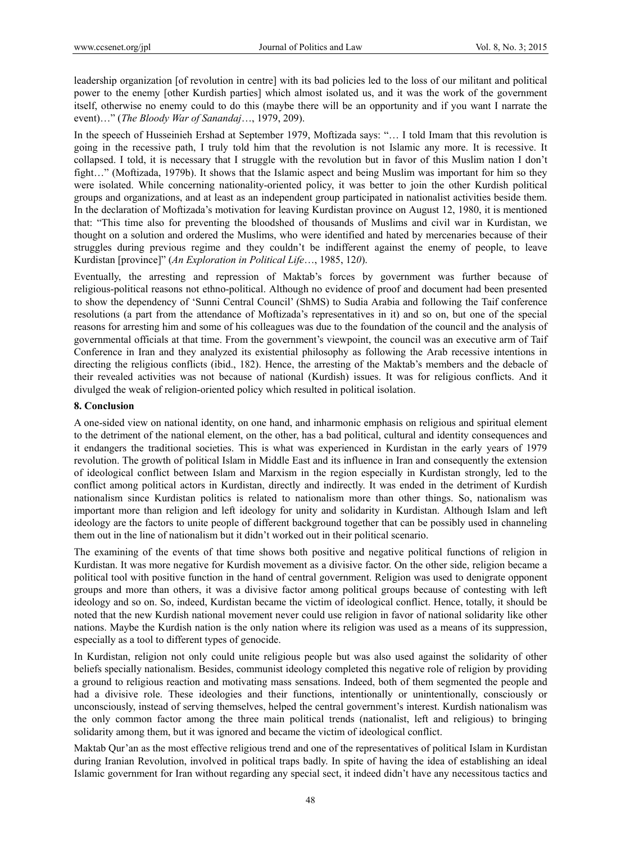leadership organization [of revolution in centre] with its bad policies led to the loss of our militant and political power to the enemy [other Kurdish parties] which almost isolated us, and it was the work of the government itself, otherwise no enemy could to do this (maybe there will be an opportunity and if you want I narrate the event)…" (*The Bloody War of Sanandaj*…, 1979, 209).

In the speech of Husseinieh Ershad at September 1979, Moftizada says: "… I told Imam that this revolution is going in the recessive path, I truly told him that the revolution is not Islamic any more. It is recessive. It collapsed. I told, it is necessary that I struggle with the revolution but in favor of this Muslim nation I don't fight…" (Moftizada, 1979b). It shows that the Islamic aspect and being Muslim was important for him so they were isolated. While concerning nationality-oriented policy, it was better to join the other Kurdish political groups and organizations, and at least as an independent group participated in nationalist activities beside them. In the declaration of Moftizada's motivation for leaving Kurdistan province on August 12, 1980, it is mentioned that: "This time also for preventing the bloodshed of thousands of Muslims and civil war in Kurdistan, we thought on a solution and ordered the Muslims, who were identified and hated by mercenaries because of their struggles during previous regime and they couldn't be indifferent against the enemy of people, to leave Kurdistan [province]" (*An Exploration in Political Life*…, 1985, 12*0*).

Eventually, the arresting and repression of Maktab's forces by government was further because of religious-political reasons not ethno-political. Although no evidence of proof and document had been presented to show the dependency of 'Sunni Central Council' (ShMS) to Sudia Arabia and following the Taif conference resolutions (a part from the attendance of Moftizada's representatives in it) and so on, but one of the special reasons for arresting him and some of his colleagues was due to the foundation of the council and the analysis of governmental officials at that time. From the government's viewpoint, the council was an executive arm of Taif Conference in Iran and they analyzed its existential philosophy as following the Arab recessive intentions in directing the religious conflicts (ibid., 182). Hence, the arresting of the Maktab's members and the debacle of their revealed activities was not because of national (Kurdish) issues. It was for religious conflicts. And it divulged the weak of religion-oriented policy which resulted in political isolation.

#### **8. Conclusion**

A one-sided view on national identity, on one hand, and inharmonic emphasis on religious and spiritual element to the detriment of the national element, on the other, has a bad political, cultural and identity consequences and it endangers the traditional societies. This is what was experienced in Kurdistan in the early years of 1979 revolution. The growth of political Islam in Middle East and its influence in Iran and consequently the extension of ideological conflict between Islam and Marxism in the region especially in Kurdistan strongly, led to the conflict among political actors in Kurdistan, directly and indirectly. It was ended in the detriment of Kurdish nationalism since Kurdistan politics is related to nationalism more than other things. So, nationalism was important more than religion and left ideology for unity and solidarity in Kurdistan. Although Islam and left ideology are the factors to unite people of different background together that can be possibly used in channeling them out in the line of nationalism but it didn't worked out in their political scenario.

The examining of the events of that time shows both positive and negative political functions of religion in Kurdistan. It was more negative for Kurdish movement as a divisive factor. On the other side, religion became a political tool with positive function in the hand of central government. Religion was used to denigrate opponent groups and more than others, it was a divisive factor among political groups because of contesting with left ideology and so on. So, indeed, Kurdistan became the victim of ideological conflict. Hence, totally, it should be noted that the new Kurdish national movement never could use religion in favor of national solidarity like other nations. Maybe the Kurdish nation is the only nation where its religion was used as a means of its suppression, especially as a tool to different types of genocide.

In Kurdistan, religion not only could unite religious people but was also used against the solidarity of other beliefs specially nationalism. Besides, communist ideology completed this negative role of religion by providing a ground to religious reaction and motivating mass sensations. Indeed, both of them segmented the people and had a divisive role. These ideologies and their functions, intentionally or unintentionally, consciously or unconsciously, instead of serving themselves, helped the central government's interest. Kurdish nationalism was the only common factor among the three main political trends (nationalist, left and religious) to bringing solidarity among them, but it was ignored and became the victim of ideological conflict.

Maktab Qur'an as the most effective religious trend and one of the representatives of political Islam in Kurdistan during Iranian Revolution, involved in political traps badly. In spite of having the idea of establishing an ideal Islamic government for Iran without regarding any special sect, it indeed didn't have any necessitous tactics and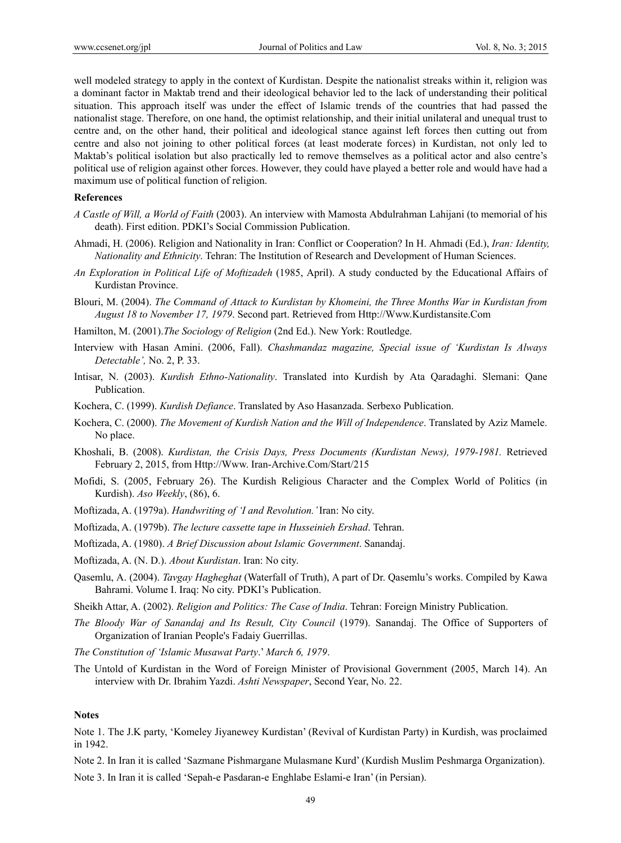well modeled strategy to apply in the context of Kurdistan. Despite the nationalist streaks within it, religion was a dominant factor in Maktab trend and their ideological behavior led to the lack of understanding their political situation. This approach itself was under the effect of Islamic trends of the countries that had passed the nationalist stage. Therefore, on one hand, the optimist relationship, and their initial unilateral and unequal trust to centre and, on the other hand, their political and ideological stance against left forces then cutting out from centre and also not joining to other political forces (at least moderate forces) in Kurdistan, not only led to Maktab's political isolation but also practically led to remove themselves as a political actor and also centre's political use of religion against other forces. However, they could have played a better role and would have had a maximum use of political function of religion.

## **References**

- *A Castle of Will, a World of Faith* (2003). An interview with Mamosta Abdulrahman Lahijani (to memorial of his death). First edition. PDKI's Social Commission Publication.
- Ahmadi, H. (2006). Religion and Nationality in Iran: Conflict or Cooperation? In H. Ahmadi (Ed.), *Iran: Identity, Nationality and Ethnicity*. Tehran: The Institution of Research and Development of Human Sciences.
- *An Exploration in Political Life of Moftizadeh* (1985, April). A study conducted by the Educational Affairs of Kurdistan Province.
- Blouri, M. (2004). *The Command of Attack to Kurdistan by Khomeini, the Three Months War in Kurdistan from August 18 to November 17, 1979*. Second part. Retrieved from Http://Www.Kurdistansite.Com
- Hamilton, M. (2001).*The Sociology of Religion* (2nd Ed.). New York: Routledge.
- Interview with Hasan Amini. (2006, Fall). *Chashmandaz magazine, Special issue of 'Kurdistan Is Always Detectable',* No. 2, P. 33.
- Intisar, N. (2003). *Kurdish Ethno-Nationality*. Translated into Kurdish by Ata Qaradaghi. Slemani: Qane Publication.
- Kochera, C. (1999). *Kurdish Defiance*. Translated by Aso Hasanzada. Serbexo Publication.
- Kochera, C. (2000). *The Movement of Kurdish Nation and the Will of Independence*. Translated by Aziz Mamele. No place.
- Khoshali, B. (2008). *Kurdistan, the Crisis Days, Press Documents (Kurdistan News), 1979-1981.* Retrieved February 2, 2015, from Http://Www. Iran-Archive.Com/Start/215
- Mofidi, S. (2005, February 26). The Kurdish Religious Character and the Complex World of Politics (in Kurdish). *Aso Weekly*, (86), 6.
- Moftizada, A. (1979a). *Handwriting of 'I and Revolution.'* Iran: No city.
- Moftizada, A. (1979b). *The lecture cassette tape in Husseinieh Ershad*. Tehran.
- Moftizada, A. (1980). *A Brief Discussion about Islamic Government*. Sanandaj.
- Moftizada, A. (N. D.). *About Kurdistan*. Iran: No city.
- Qasemlu, A. (2004). *Tavgay Hagheghat* (Waterfall of Truth), A part of Dr. Qasemlu's works. Compiled by Kawa Bahrami. Volume I. Iraq: No city. PDKI's Publication.
- Sheikh Attar, A. (2002). *Religion and Politics: The Case of India*. Tehran: Foreign Ministry Publication.
- *The Bloody War of Sanandaj and Its Result, City Council* (1979). Sanandaj. The Office of Supporters of Organization of Iranian People's Fadaiy Guerrillas.

*The Constitution of 'Islamic Musawat Party*.' *March 6, 1979*.

The Untold of Kurdistan in the Word of Foreign Minister of Provisional Government (2005, March 14). An interview with Dr. Ibrahim Yazdi. *Ashti Newspaper*, Second Year, No. 22.

#### **Notes**

Note 1. The J.K party, 'Komeley Jiyanewey Kurdistan' (Revival of Kurdistan Party) in Kurdish, was proclaimed in 1942.

Note 2. In Iran it is called 'Sazmane Pishmargane Mulasmane Kurd' (Kurdish Muslim Peshmarga Organization).

Note 3. In Iran it is called 'Sepah-e Pasdaran-e Enghlabe Eslami-e Iran' (in Persian).